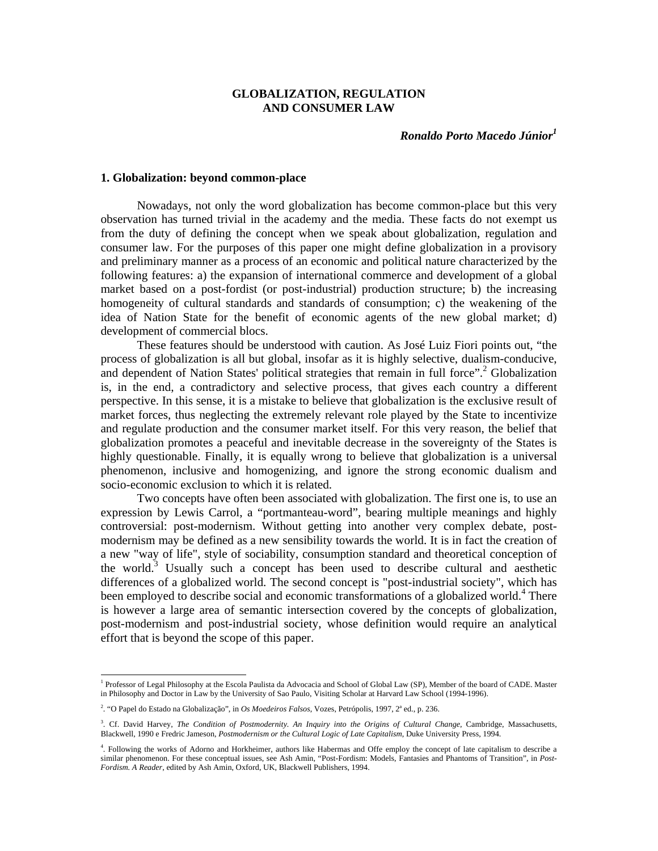# **GLOBALIZATION, REGULATION AND CONSUMER LAW**

*Ronaldo Porto Macedo Júnior<sup>1</sup>*

### **1. Globalization: beyond common-place**

Nowadays, not only the word globalization has become common-place but this very observation has turned trivial in the academy and the media. These facts do not exempt us from the duty of defining the concept when we speak about globalization, regulation and consumer law. For the purposes of this paper one might define globalization in a provisory and preliminary manner as a process of an economic and political nature characterized by the following features: a) the expansion of international commerce and development of a global market based on a post-fordist (or post-industrial) production structure; b) the increasing homogeneity of cultural standards and standards of consumption; c) the weakening of the idea of Nation State for the benefit of economic agents of the new global market; d) development of commercial blocs.

These features should be understood with caution. As José Luiz Fiori points out, "the process of globalization is all but global, insofar as it is highly selective, dualism-conducive, and dependent of Nation States' political strategies that remain in full force".<sup>2</sup> Globalization is, in the end, a contradictory and selective process, that gives each country a different perspective. In this sense, it is a mistake to believe that globalization is the exclusive result of market forces, thus neglecting the extremely relevant role played by the State to incentivize and regulate production and the consumer market itself. For this very reason, the belief that globalization promotes a peaceful and inevitable decrease in the sovereignty of the States is highly questionable. Finally, it is equally wrong to believe that globalization is a universal phenomenon, inclusive and homogenizing, and ignore the strong economic dualism and socio-economic exclusion to which it is related.

Two concepts have often been associated with globalization. The first one is, to use an expression by Lewis Carrol, a "portmanteau-word", bearing multiple meanings and highly controversial: post-modernism. Without getting into another very complex debate, postmodernism may be defined as a new sensibility towards the world. It is in fact the creation of a new "way of life", style of sociability, consumption standard and theoretical conception of the world.<sup>3</sup> Usually such a concept has been used to describe cultural and aesthetic differences of a globalized world. The second concept is "post-industrial society", which has been employed to describe social and economic transformations of a globalized world.<sup>4</sup> There is however a large area of semantic intersection covered by the concepts of globalization, post-modernism and post-industrial society, whose definition would require an analytical effort that is beyond the scope of this paper.

1

<sup>&</sup>lt;sup>1</sup> Professor of Legal Philosophy at the Escola Paulista da Advocacia and School of Global Law (SP), Member of the board of CADE. Master in Philosophy and Doctor in Law by the University of Sao Paulo, Visiting Scholar at Harvard Law School (1994-1996).

<sup>&</sup>lt;sup>2</sup>. "O Papel do Estado na Globalização", in *Os Moedeiros Falsos*, Vozes, Petrópolis, 1997, 2<sup>ª</sup> ed., p. 236.

<sup>3</sup> . Cf. David Harvey, *The Condition of Postmodernity. An Inquiry into the Origins of Cultural Change*, Cambridge, Massachusetts, Blackwell, 1990 e Fredric Jameson, *Postmodernism or the Cultural Logic of Late Capitalism*, Duke University Press, 1994.

<sup>4</sup> . Following the works of Adorno and Horkheimer, authors like Habermas and Offe employ the concept of late capitalism to describe a similar phenomenon. For these conceptual issues, see Ash Amin, "Post-Fordism: Models, Fantasies and Phantoms of Transition", in *Post-Fordism. A Reader*, edited by Ash Amin, Oxford, UK, Blackwell Publishers, 1994.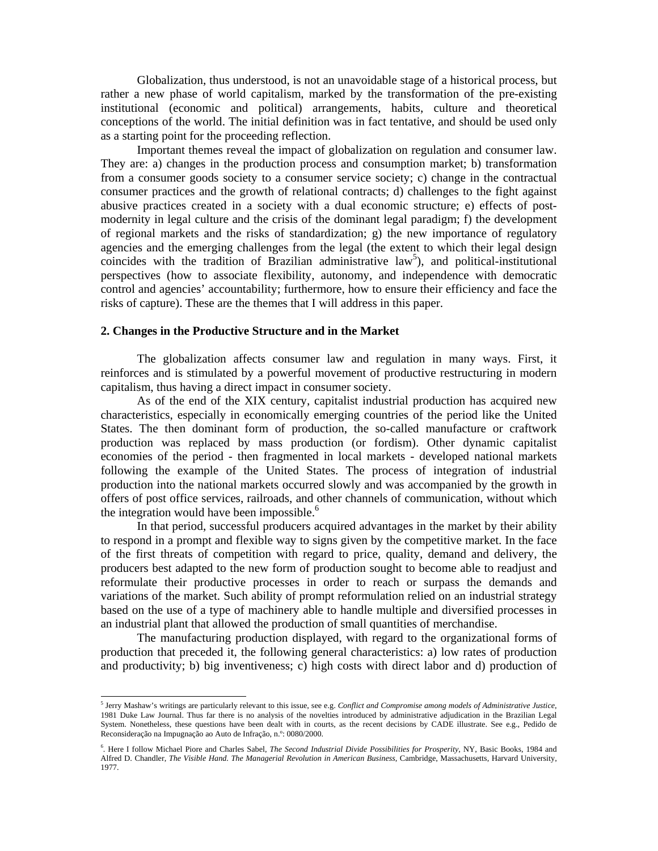Globalization, thus understood, is not an unavoidable stage of a historical process, but rather a new phase of world capitalism, marked by the transformation of the pre-existing institutional (economic and political) arrangements, habits, culture and theoretical conceptions of the world. The initial definition was in fact tentative, and should be used only as a starting point for the proceeding reflection.

Important themes reveal the impact of globalization on regulation and consumer law. They are: a) changes in the production process and consumption market; b) transformation from a consumer goods society to a consumer service society; c) change in the contractual consumer practices and the growth of relational contracts; d) challenges to the fight against abusive practices created in a society with a dual economic structure; e) effects of postmodernity in legal culture and the crisis of the dominant legal paradigm; f) the development of regional markets and the risks of standardization; g) the new importance of regulatory agencies and the emerging challenges from the legal (the extent to which their legal design coincides with the tradition of Brazilian administrative  $law<sup>5</sup>$ , and political-institutional perspectives (how to associate flexibility, autonomy, and independence with democratic control and agencies' accountability; furthermore, how to ensure their efficiency and face the risks of capture). These are the themes that I will address in this paper.

# **2. Changes in the Productive Structure and in the Market**

The globalization affects consumer law and regulation in many ways. First, it reinforces and is stimulated by a powerful movement of productive restructuring in modern capitalism, thus having a direct impact in consumer society.

As of the end of the XIX century, capitalist industrial production has acquired new characteristics, especially in economically emerging countries of the period like the United States. The then dominant form of production, the so-called manufacture or craftwork production was replaced by mass production (or fordism). Other dynamic capitalist economies of the period - then fragmented in local markets - developed national markets following the example of the United States. The process of integration of industrial production into the national markets occurred slowly and was accompanied by the growth in offers of post office services, railroads, and other channels of communication, without which the integration would have been impossible. $<sup>6</sup>$ </sup>

In that period, successful producers acquired advantages in the market by their ability to respond in a prompt and flexible way to signs given by the competitive market. In the face of the first threats of competition with regard to price, quality, demand and delivery, the producers best adapted to the new form of production sought to become able to readjust and reformulate their productive processes in order to reach or surpass the demands and variations of the market. Such ability of prompt reformulation relied on an industrial strategy based on the use of a type of machinery able to handle multiple and diversified processes in an industrial plant that allowed the production of small quantities of merchandise.

The manufacturing production displayed, with regard to the organizational forms of production that preceded it, the following general characteristics: a) low rates of production and productivity; b) big inventiveness; c) high costs with direct labor and d) production of

 5 Jerry Mashaw's writings are particularly relevant to this issue, see e.g. *Conflict and Compromise among models of Administrative Justice*, 1981 Duke Law Journal. Thus far there is no analysis of the novelties introduced by administrative adjudication in the Brazilian Legal System. Nonetheless, these questions have been dealt with in courts, as the recent decisions by CADE illustrate. See e.g., Pedido de Reconsideração na Impugnação ao Auto de Infração, n.º: 0080/2000.

<sup>6</sup> . Here I follow Michael Piore and Charles Sabel, *The Second Industrial Divide Possibilities for Prosperity*, NY, Basic Books, 1984 and Alfred D. Chandler, *The Visible Hand. The Managerial Revolution in American Business*, Cambridge, Massachusetts, Harvard University, 1977.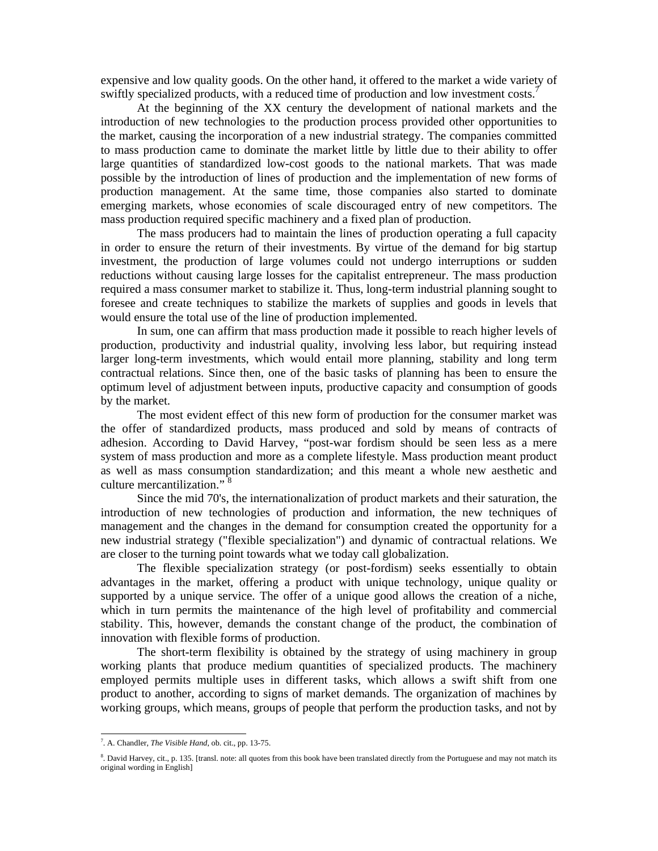expensive and low quality goods. On the other hand, it offered to the market a wide variety of swiftly specialized products, with a reduced time of production and low investment costs.<sup>7</sup>

At the beginning of the XX century the development of national markets and the introduction of new technologies to the production process provided other opportunities to the market, causing the incorporation of a new industrial strategy. The companies committed to mass production came to dominate the market little by little due to their ability to offer large quantities of standardized low-cost goods to the national markets. That was made possible by the introduction of lines of production and the implementation of new forms of production management. At the same time, those companies also started to dominate emerging markets, whose economies of scale discouraged entry of new competitors. The mass production required specific machinery and a fixed plan of production.

The mass producers had to maintain the lines of production operating a full capacity in order to ensure the return of their investments. By virtue of the demand for big startup investment, the production of large volumes could not undergo interruptions or sudden reductions without causing large losses for the capitalist entrepreneur. The mass production required a mass consumer market to stabilize it. Thus, long-term industrial planning sought to foresee and create techniques to stabilize the markets of supplies and goods in levels that would ensure the total use of the line of production implemented.

In sum, one can affirm that mass production made it possible to reach higher levels of production, productivity and industrial quality, involving less labor, but requiring instead larger long-term investments, which would entail more planning, stability and long term contractual relations. Since then, one of the basic tasks of planning has been to ensure the optimum level of adjustment between inputs, productive capacity and consumption of goods by the market.

The most evident effect of this new form of production for the consumer market was the offer of standardized products, mass produced and sold by means of contracts of adhesion. According to David Harvey, "post-war fordism should be seen less as a mere system of mass production and more as a complete lifestyle. Mass production meant product as well as mass consumption standardization; and this meant a whole new aesthetic and culture mercantilization." 8

Since the mid 70's, the internationalization of product markets and their saturation, the introduction of new technologies of production and information, the new techniques of management and the changes in the demand for consumption created the opportunity for a new industrial strategy ("flexible specialization") and dynamic of contractual relations. We are closer to the turning point towards what we today call globalization.

The flexible specialization strategy (or post-fordism) seeks essentially to obtain advantages in the market, offering a product with unique technology, unique quality or supported by a unique service. The offer of a unique good allows the creation of a niche, which in turn permits the maintenance of the high level of profitability and commercial stability. This, however, demands the constant change of the product, the combination of innovation with flexible forms of production.

The short-term flexibility is obtained by the strategy of using machinery in group working plants that produce medium quantities of specialized products. The machinery employed permits multiple uses in different tasks, which allows a swift shift from one product to another, according to signs of market demands. The organization of machines by working groups, which means, groups of people that perform the production tasks, and not by

<sup>7</sup> . A. Chandler, *The Visible Hand*, ob. cit., pp. 13-75.

<sup>&</sup>lt;sup>8</sup>. David Harvey, cit., p. 135. [transl. note: all quotes from this book have been translated directly from the Portuguese and may not match its original wording in English]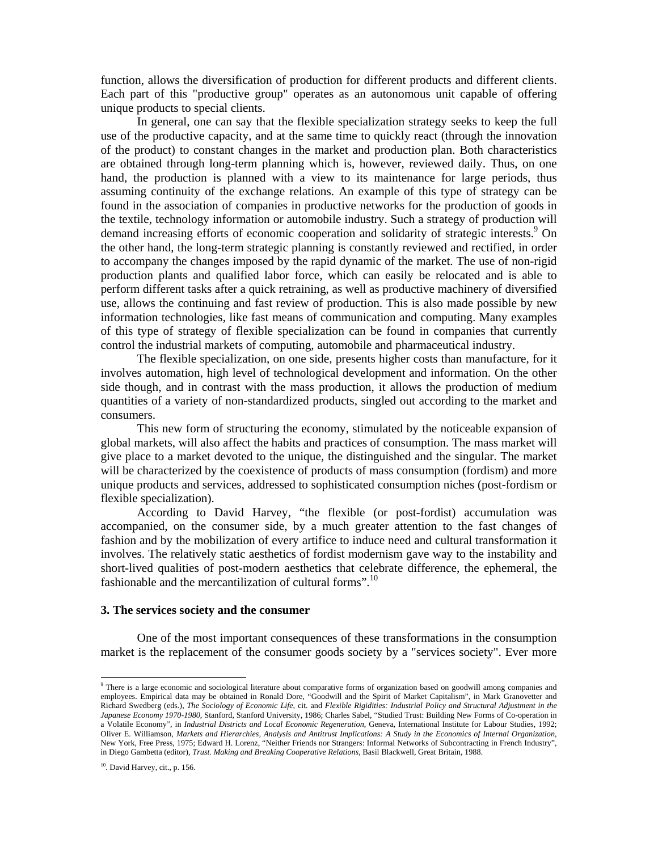function, allows the diversification of production for different products and different clients. Each part of this "productive group" operates as an autonomous unit capable of offering unique products to special clients.

In general, one can say that the flexible specialization strategy seeks to keep the full use of the productive capacity, and at the same time to quickly react (through the innovation of the product) to constant changes in the market and production plan. Both characteristics are obtained through long-term planning which is, however, reviewed daily. Thus, on one hand, the production is planned with a view to its maintenance for large periods, thus assuming continuity of the exchange relations. An example of this type of strategy can be found in the association of companies in productive networks for the production of goods in the textile, technology information or automobile industry. Such a strategy of production will demand increasing efforts of economic cooperation and solidarity of strategic interests.<sup>9</sup> On the other hand, the long-term strategic planning is constantly reviewed and rectified, in order to accompany the changes imposed by the rapid dynamic of the market. The use of non-rigid production plants and qualified labor force, which can easily be relocated and is able to perform different tasks after a quick retraining, as well as productive machinery of diversified use, allows the continuing and fast review of production. This is also made possible by new information technologies, like fast means of communication and computing. Many examples of this type of strategy of flexible specialization can be found in companies that currently control the industrial markets of computing, automobile and pharmaceutical industry.

The flexible specialization, on one side, presents higher costs than manufacture, for it involves automation, high level of technological development and information. On the other side though, and in contrast with the mass production, it allows the production of medium quantities of a variety of non-standardized products, singled out according to the market and consumers.

This new form of structuring the economy, stimulated by the noticeable expansion of global markets, will also affect the habits and practices of consumption. The mass market will give place to a market devoted to the unique, the distinguished and the singular. The market will be characterized by the coexistence of products of mass consumption (fordism) and more unique products and services, addressed to sophisticated consumption niches (post-fordism or flexible specialization).

According to David Harvey, "the flexible (or post-fordist) accumulation was accompanied, on the consumer side, by a much greater attention to the fast changes of fashion and by the mobilization of every artifice to induce need and cultural transformation it involves. The relatively static aesthetics of fordist modernism gave way to the instability and short-lived qualities of post-modern aesthetics that celebrate difference, the ephemeral, the fashionable and the mercantilization of cultural forms".<sup>10</sup>

#### **3. The services society and the consumer**

One of the most important consequences of these transformations in the consumption market is the replacement of the consumer goods society by a "services society". Ever more

1

<sup>&</sup>lt;sup>9</sup> There is a large economic and sociological literature about comparative forms of organization based on goodwill among companies and employees. Empirical data may be obtained in Ronald Dore, "Goodwill and the Spirit of Market Capitalism", in Mark Granovetter and Richard Swedberg (eds.), *The Sociology of Economic Life*, cit. and *Flexible Rigidities: Industrial Policy and Structural Adjustment in the Japanese Economy 1970-1980*, Stanford, Stanford University, 1986; Charles Sabel, "Studied Trust: Building New Forms of Co-operation in a Volatile Economy", in *Industrial Districts and Local Economic Regeneration*, Geneva, International Institute for Labour Studies, 1992; Oliver E. Williamson, *Markets and Hierarchies, Analysis and Antitrust Implications: A Study in the Economics of Internal Organization*, New York, Free Press, 1975; Edward H. Lorenz, "Neither Friends nor Strangers: Informal Networks of Subcontracting in French Industry", in Diego Gambetta (editor), *Trust. Making and Breaking Cooperative Relations*, Basil Blackwell, Great Britain, 1988.

<sup>&</sup>lt;sup>10</sup>. David Harvey, cit., p. 156.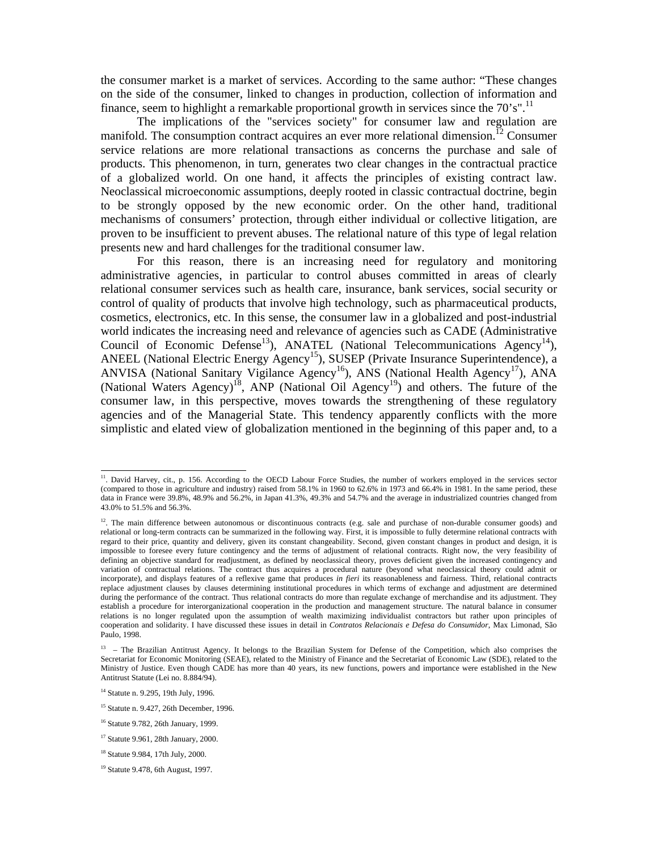the consumer market is a market of services. According to the same author: "These changes on the side of the consumer, linked to changes in production, collection of information and finance, seem to highlight a remarkable proportional growth in services since the 70's".<sup>11</sup>

The implications of the "services society" for consumer law and regulation are manifold. The consumption contract acquires an ever more relational dimension.<sup>12</sup> Consumer service relations are more relational transactions as concerns the purchase and sale of products. This phenomenon, in turn, generates two clear changes in the contractual practice of a globalized world. On one hand, it affects the principles of existing contract law. Neoclassical microeconomic assumptions, deeply rooted in classic contractual doctrine, begin to be strongly opposed by the new economic order. On the other hand, traditional mechanisms of consumers' protection, through either individual or collective litigation, are proven to be insufficient to prevent abuses. The relational nature of this type of legal relation presents new and hard challenges for the traditional consumer law.

For this reason, there is an increasing need for regulatory and monitoring administrative agencies, in particular to control abuses committed in areas of clearly relational consumer services such as health care, insurance, bank services, social security or control of quality of products that involve high technology, such as pharmaceutical products, cosmetics, electronics, etc. In this sense, the consumer law in a globalized and post-industrial world indicates the increasing need and relevance of agencies such as CADE (Administrative Council of Economic Defense<sup>13</sup>), ANATEL (National Telecommunications Agency<sup>14</sup>), ANEEL (National Electric Energy Agency<sup>15</sup>), SUSEP (Private Insurance Superintendence), a ANVISA (National Sanitary Vigilance Agency<sup>16</sup>), ANS (National Health Agency<sup>17</sup>), ANA (National Waters Agency)<sup>18</sup>, ANP (National Oil Agency<sup>19</sup>) and others. The future of the consumer law, in this perspective, moves towards the strengthening of these regulatory agencies and of the Managerial State. This tendency apparently conflicts with the more simplistic and elated view of globalization mentioned in the beginning of this paper and, to a

<sup>&</sup>lt;sup>11</sup>. David Harvey, cit., p. 156. According to the OECD Labour Force Studies, the number of workers employed in the services sector (compared to those in agriculture and industry) raised from 58.1% in 1960 to 62.6% in 1973 and 66.4% in 1981. In the same period, these data in France were 39.8%, 48.9% and 56.2%, in Japan 41.3%, 49.3% and 54.7% and the average in industrialized countries changed from 43.0% to 51.5% and 56.3%.

 $12$ . The main difference between autonomous or discontinuous contracts (e.g. sale and purchase of non-durable consumer goods) and relational or long-term contracts can be summarized in the following way. First, it is impossible to fully determine relational contracts with regard to their price, quantity and delivery, given its constant changeability. Second, given constant changes in product and design, it is impossible to foresee every future contingency and the terms of adjustment of relational contracts. Right now, the very feasibility of defining an objective standard for readjustment, as defined by neoclassical theory, proves deficient given the increased contingency and variation of contractual relations. The contract thus acquires a procedural nature (beyond what neoclassical theory could admit or incorporate), and displays features of a reflexive game that produces *in fieri* its reasonableness and fairness. Third, relational contracts replace adjustment clauses by clauses determining institutional procedures in which terms of exchange and adjustment are determined during the performance of the contract. Thus relational contracts do more than regulate exchange of merchandise and its adjustment. They establish a procedure for interorganizational cooperation in the production and management structure. The natural balance in consumer relations is no longer regulated upon the assumption of wealth maximizing individualist contractors but rather upon principles of cooperation and solidarity. I have discussed these issues in detail in *Contratos Relacionais e Defesa do Consumidor*, Max Limonad, São Paulo, 1998.

<sup>&</sup>lt;sup>13</sup> – The Brazilian Antitrust Agency. It belongs to the Brazilian System for Defense of the Competition, which also comprises the Secretariat for Economic Monitoring (SEAE), related to the Ministry of Finance and the Secretariat of Economic Law (SDE), related to the Ministry of Justice. Even though CADE has more than 40 years, its new functions, powers and importance were established in the New Antitrust Statute (Lei no. 8.884/94).

<sup>&</sup>lt;sup>14</sup> Statute n. 9.295, 19th July, 1996.

<sup>&</sup>lt;sup>15</sup> Statute n. 9.427, 26th December, 1996.

<sup>16</sup> Statute 9.782, 26th January, 1999.

<sup>17</sup> Statute 9.961, 28th January, 2000.

<sup>18</sup> Statute 9.984, 17th July, 2000.

<sup>19</sup> Statute 9.478, 6th August, 1997.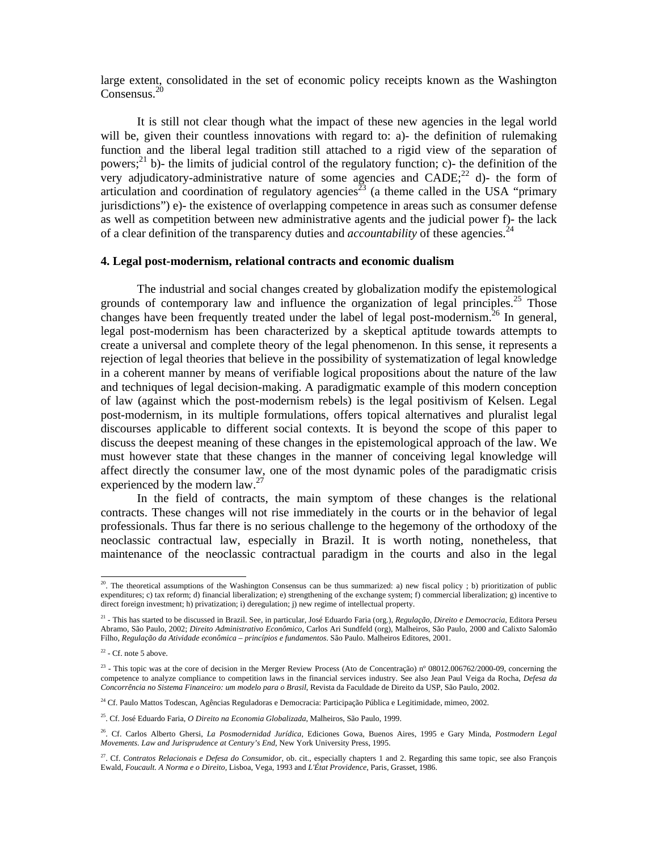large extent, consolidated in the set of economic policy receipts known as the Washington Consensus.<sup>20</sup>

It is still not clear though what the impact of these new agencies in the legal world will be, given their countless innovations with regard to: a)- the definition of rulemaking function and the liberal legal tradition still attached to a rigid view of the separation of powers;<sup>21</sup> b)- the limits of judicial control of the regulatory function; c)- the definition of the very adjudicatory-administrative nature of some agencies and  $CADE;^{22}$  d)- the form of articulation and coordination of regulatory agencies<sup>23</sup> (a theme called in the USA "primary") jurisdictions") e)- the existence of overlapping competence in areas such as consumer defense as well as competition between new administrative agents and the judicial power f)- the lack of a clear definition of the transparency duties and *accountability* of these agencies.<sup>24</sup>

### **4. Legal post-modernism, relational contracts and economic dualism**

The industrial and social changes created by globalization modify the epistemological grounds of contemporary law and influence the organization of legal principles.<sup>25</sup> Those changes have been frequently treated under the label of legal post-modernism.<sup>26</sup> In general, legal post-modernism has been characterized by a skeptical aptitude towards attempts to create a universal and complete theory of the legal phenomenon. In this sense, it represents a rejection of legal theories that believe in the possibility of systematization of legal knowledge in a coherent manner by means of verifiable logical propositions about the nature of the law and techniques of legal decision-making. A paradigmatic example of this modern conception of law (against which the post-modernism rebels) is the legal positivism of Kelsen. Legal post-modernism, in its multiple formulations, offers topical alternatives and pluralist legal discourses applicable to different social contexts. It is beyond the scope of this paper to discuss the deepest meaning of these changes in the epistemological approach of the law. We must however state that these changes in the manner of conceiving legal knowledge will affect directly the consumer law, one of the most dynamic poles of the paradigmatic crisis experienced by the modern law.<sup>27</sup>

In the field of contracts, the main symptom of these changes is the relational contracts. These changes will not rise immediately in the courts or in the behavior of legal professionals. Thus far there is no serious challenge to the hegemony of the orthodoxy of the neoclassic contractual law, especially in Brazil. It is worth noting, nonetheless, that maintenance of the neoclassic contractual paradigm in the courts and also in the legal

 $20$ . The theoretical assumptions of the Washington Consensus can be thus summarized: a) new fiscal policy; b) prioritization of public expenditures; c) tax reform; d) financial liberalization; e) strengthening of the exchange system; f) commercial liberalization; g) incentive to direct foreign investment; h) privatization; i) deregulation; j) new regime of intellectual property.

<sup>21 -</sup> This has started to be discussed in Brazil. See, in particular, José Eduardo Faria (org.), *Regulação, Direito e Democracia*, Editora Perseu Abramo, São Paulo, 2002; *Direito Administrativo Econômico*, Carlos Ari Sundfeld (org), Malheiros, São Paulo, 2000 and Calixto Salomão Filho, *Regulação da Atividade econômica – princípios e fundamentos*. São Paulo. Malheiros Editores, 2001.

 $22$  - Cf. note 5 above.

<sup>&</sup>lt;sup>23</sup> - This topic was at the core of decision in the Merger Review Process (Ato de Concentração) nº 08012.006762/2000-09, concerning the competence to analyze compliance to competition laws in the financial services industry. See also Jean Paul Veiga da Rocha, *Defesa da Concorrência no Sistema Financeiro: um modelo para o Brasil*, Revista da Faculdade de Direito da USP, São Paulo, 2002.

<sup>&</sup>lt;sup>24</sup> Cf. Paulo Mattos Todescan, Agências Reguladoras e Democracia: Participação Pública e Legitimidade, mimeo, 2002.

<sup>25.</sup> Cf. José Eduardo Faria, *O Direito na Economia Globalizada*, Malheiros, São Paulo, 1999.

<sup>26.</sup> Cf. Carlos Alberto Ghersi, *La Posmodernidad Jurídica*, Ediciones Gowa, Buenos Aires, 1995 e Gary Minda, *Postmodern Legal Movements. Law and Jurisprudence at Century's End*, New York University Press, 1995.

<sup>&</sup>lt;sup>27</sup>. Cf. *Contratos Relacionais e Defesa do Consumidor*, ob. cit., especially chapters 1 and 2. Regarding this same topic, see also François Ewald, *Foucault. A Norma e o Direito,* Lisboa, Vega, 1993 and *L'État Providence*, Paris, Grasset, 1986.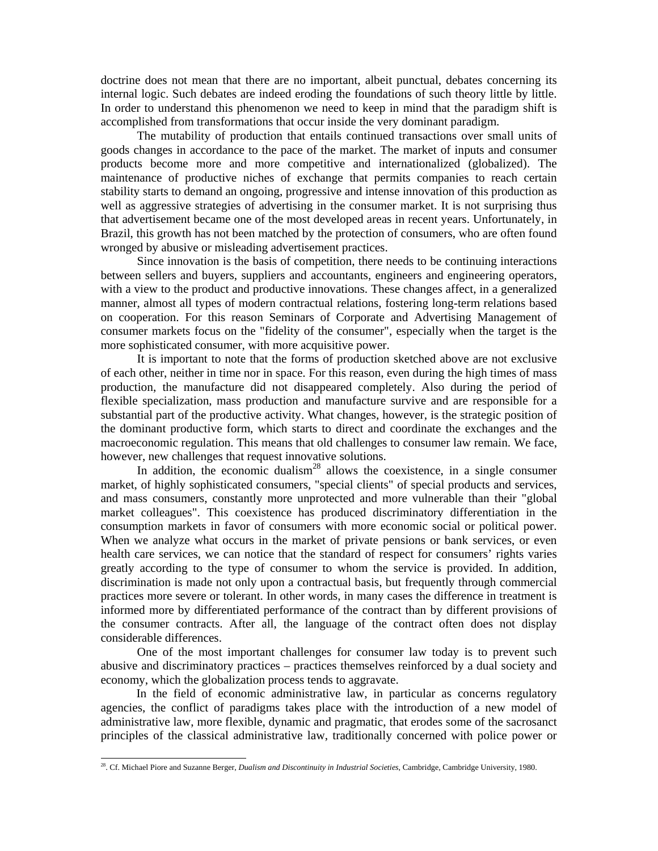doctrine does not mean that there are no important, albeit punctual, debates concerning its internal logic. Such debates are indeed eroding the foundations of such theory little by little. In order to understand this phenomenon we need to keep in mind that the paradigm shift is accomplished from transformations that occur inside the very dominant paradigm.

The mutability of production that entails continued transactions over small units of goods changes in accordance to the pace of the market. The market of inputs and consumer products become more and more competitive and internationalized (globalized). The maintenance of productive niches of exchange that permits companies to reach certain stability starts to demand an ongoing, progressive and intense innovation of this production as well as aggressive strategies of advertising in the consumer market. It is not surprising thus that advertisement became one of the most developed areas in recent years. Unfortunately, in Brazil, this growth has not been matched by the protection of consumers, who are often found wronged by abusive or misleading advertisement practices.

Since innovation is the basis of competition, there needs to be continuing interactions between sellers and buyers, suppliers and accountants, engineers and engineering operators, with a view to the product and productive innovations. These changes affect, in a generalized manner, almost all types of modern contractual relations, fostering long-term relations based on cooperation. For this reason Seminars of Corporate and Advertising Management of consumer markets focus on the "fidelity of the consumer", especially when the target is the more sophisticated consumer, with more acquisitive power.

It is important to note that the forms of production sketched above are not exclusive of each other, neither in time nor in space. For this reason, even during the high times of mass production, the manufacture did not disappeared completely. Also during the period of flexible specialization, mass production and manufacture survive and are responsible for a substantial part of the productive activity. What changes, however, is the strategic position of the dominant productive form, which starts to direct and coordinate the exchanges and the macroeconomic regulation. This means that old challenges to consumer law remain. We face, however, new challenges that request innovative solutions.

In addition, the economic dualism<sup>28</sup> allows the coexistence, in a single consumer market, of highly sophisticated consumers, "special clients" of special products and services, and mass consumers, constantly more unprotected and more vulnerable than their "global market colleagues". This coexistence has produced discriminatory differentiation in the consumption markets in favor of consumers with more economic social or political power. When we analyze what occurs in the market of private pensions or bank services, or even health care services, we can notice that the standard of respect for consumers' rights varies greatly according to the type of consumer to whom the service is provided. In addition, discrimination is made not only upon a contractual basis, but frequently through commercial practices more severe or tolerant. In other words, in many cases the difference in treatment is informed more by differentiated performance of the contract than by different provisions of the consumer contracts. After all, the language of the contract often does not display considerable differences.

One of the most important challenges for consumer law today is to prevent such abusive and discriminatory practices – practices themselves reinforced by a dual society and economy, which the globalization process tends to aggravate.

 In the field of economic administrative law, in particular as concerns regulatory agencies, the conflict of paradigms takes place with the introduction of a new model of administrative law, more flexible, dynamic and pragmatic, that erodes some of the sacrosanct principles of the classical administrative law, traditionally concerned with police power or

<sup>28.</sup> Cf. Michael Piore and Suzanne Berger, *Dualism and Discontinuity in Industrial Societies*, Cambridge, Cambridge University, 1980.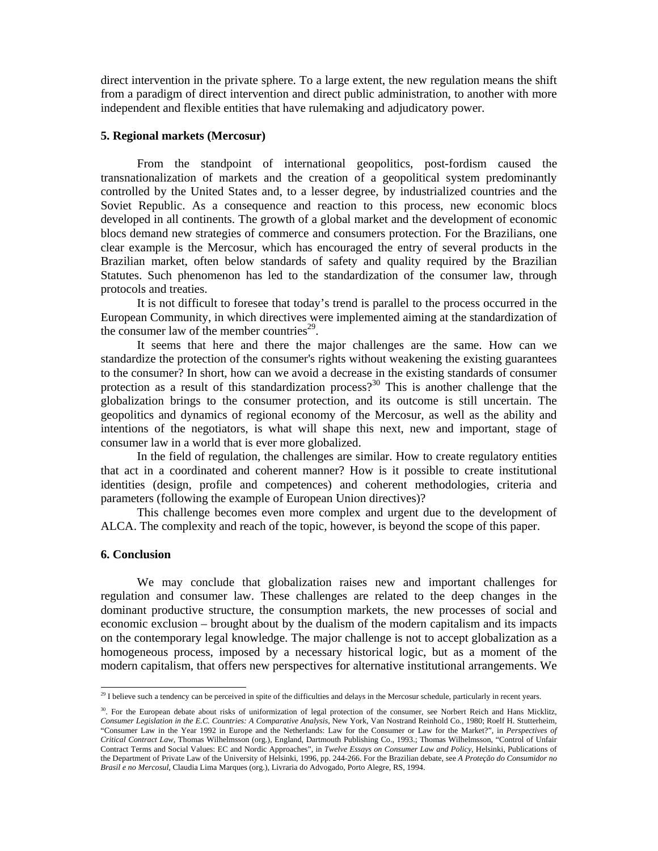direct intervention in the private sphere. To a large extent, the new regulation means the shift from a paradigm of direct intervention and direct public administration, to another with more independent and flexible entities that have rulemaking and adjudicatory power.

# **5. Regional markets (Mercosur)**

From the standpoint of international geopolitics, post-fordism caused the transnationalization of markets and the creation of a geopolitical system predominantly controlled by the United States and, to a lesser degree, by industrialized countries and the Soviet Republic. As a consequence and reaction to this process, new economic blocs developed in all continents. The growth of a global market and the development of economic blocs demand new strategies of commerce and consumers protection. For the Brazilians, one clear example is the Mercosur, which has encouraged the entry of several products in the Brazilian market, often below standards of safety and quality required by the Brazilian Statutes. Such phenomenon has led to the standardization of the consumer law, through protocols and treaties.

It is not difficult to foresee that today's trend is parallel to the process occurred in the European Community, in which directives were implemented aiming at the standardization of the consumer law of the member countries<sup>29</sup>.

It seems that here and there the major challenges are the same. How can we standardize the protection of the consumer's rights without weakening the existing guarantees to the consumer? In short, how can we avoid a decrease in the existing standards of consumer protection as a result of this standardization process?<sup>30</sup> This is another challenge that the globalization brings to the consumer protection, and its outcome is still uncertain. The geopolitics and dynamics of regional economy of the Mercosur, as well as the ability and intentions of the negotiators, is what will shape this next, new and important, stage of consumer law in a world that is ever more globalized.

In the field of regulation, the challenges are similar. How to create regulatory entities that act in a coordinated and coherent manner? How is it possible to create institutional identities (design, profile and competences) and coherent methodologies, criteria and parameters (following the example of European Union directives)?

This challenge becomes even more complex and urgent due to the development of ALCA. The complexity and reach of the topic, however, is beyond the scope of this paper.

### **6. Conclusion**

1

We may conclude that globalization raises new and important challenges for regulation and consumer law. These challenges are related to the deep changes in the dominant productive structure, the consumption markets, the new processes of social and economic exclusion – brought about by the dualism of the modern capitalism and its impacts on the contemporary legal knowledge. The major challenge is not to accept globalization as a homogeneous process, imposed by a necessary historical logic, but as a moment of the modern capitalism, that offers new perspectives for alternative institutional arrangements. We

 $^{29}$  I believe such a tendency can be perceived in spite of the difficulties and delays in the Mercosur schedule, particularly in recent years.

<sup>&</sup>lt;sup>30</sup>. For the European debate about risks of uniformization of legal protection of the consumer, see Norbert Reich and Hans Micklitz, *Consumer Legislation in the E.C. Countries: A Comparative Analysis*, New York, Van Nostrand Reinhold Co., 1980; Roelf H. Stutterheim, "Consumer Law in the Year 1992 in Europe and the Netherlands: Law for the Consumer or Law for the Market?", in *Perspectives of Critical Contract Law*, Thomas Wilhelmsson (org.), England, Dartmouth Publishing Co., 1993.; Thomas Wilhelmsson, "Control of Unfair Contract Terms and Social Values: EC and Nordic Approaches", in *Twelve Essays on Consumer Law and Policy*, Helsinki, Publications of the Department of Private Law of the University of Helsinki, 1996, pp. 244-266. For the Brazilian debate, see *A Proteção do Consumidor no Brasil e no Mercosul*, Claudia Lima Marques (org.), Livraria do Advogado, Porto Alegre, RS, 1994.